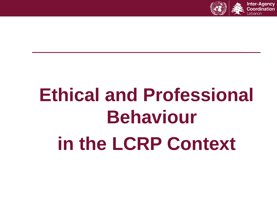

# **Ethical and Professional Behaviour in the LCRP Context**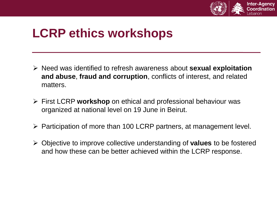

### **LCRP ethics workshops**

- ➢ Need was identified to refresh awareness about **sexual exploitation and abuse**, **fraud and corruption**, conflicts of interest, and related matters.
- ➢ First LCRP **workshop** on ethical and professional behaviour was organized at national level on 19 June in Beirut.
- ➢ Participation of more than 100 LCRP partners, at management level.
- ➢ Objective to improve collective understanding of **values** to be fostered and how these can be better achieved within the LCRP response.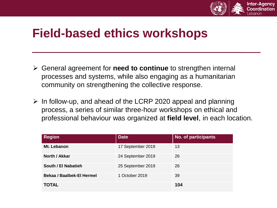

### **Field-based ethics workshops**

- ➢ General agreement for **need to continue** to strengthen internal processes and systems, while also engaging as a humanitarian community on strengthening the collective response.
- $\triangleright$  In follow-up, and ahead of the LCRP 2020 appeal and planning process, a series of similar three-hour workshops on ethical and professional behaviour was organized at **field level**, in each location.

| <b>Region</b>                    | <b>Date</b>       | No. of participants |
|----------------------------------|-------------------|---------------------|
| Mt. Lebanon                      | 17 September 2019 | 13                  |
| North / Akkar                    | 24 September 2019 | 26                  |
| South / El Nabatieh              | 25 September 2019 | 26                  |
| <b>Bekaa / Baalbek-El Hermel</b> | 1 October 2019    | 39                  |
| <b>TOTAL</b>                     |                   | 104                 |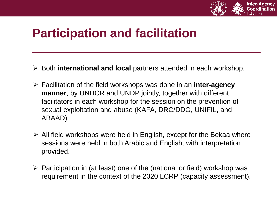

### **Participation and facilitation**

- ➢ Both **international and local** partners attended in each workshop.
- ➢ Facilitation of the field workshops was done in an **inter-agency manner**, by UNHCR and UNDP jointly, together with different facilitators in each workshop for the session on the prevention of sexual exploitation and abuse (KAFA, DRC/DDG, UNIFIL, and ABAAD).
- $\triangleright$  All field workshops were held in English, except for the Bekaa where sessions were held in both Arabic and English, with interpretation provided.
- $\triangleright$  Participation in (at least) one of the (national or field) workshop was requirement in the context of the 2020 LCRP (capacity assessment).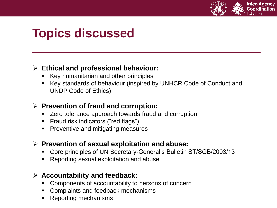

### **Topics discussed**

#### ➢ **Ethical and professional behaviour:**

- Key humanitarian and other principles
- Key standards of behaviour (inspired by UNHCR Code of Conduct and UNDP Code of Ethics)

#### ➢ **Prevention of fraud and corruption:**

- Zero tolerance approach towards fraud and corruption
- Fraud risk indicators ("red flags")
- **Preventive and mitigating measures**

#### ➢ **Prevention of sexual exploitation and abuse:**

- Core principles of UN Secretary-General's Bulletin ST/SGB/2003/13
- Reporting sexual exploitation and abuse

#### ➢ **Accountability and feedback:**

- Components of accountability to persons of concern
- Complaints and feedback mechanisms
- **Reporting mechanisms**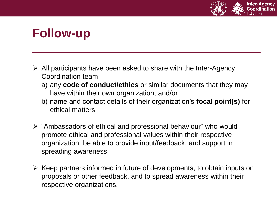

### **Follow-up**

- $\triangleright$  All participants have been asked to share with the Inter-Agency Coordination team:
	- a) any **code of conduct/ethics** or similar documents that they may have within their own organization, and/or
	- b) name and contact details of their organization's **focal point(s)** for ethical matters.
- ➢ "Ambassadors of ethical and professional behaviour" who would promote ethical and professional values within their respective organization, be able to provide input/feedback, and support in spreading awareness.
- ➢ Keep partners informed in future of developments, to obtain inputs on proposals or other feedback, and to spread awareness within their respective organizations.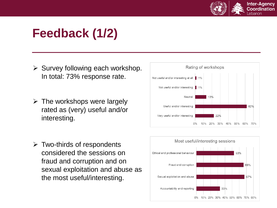

## **Feedback (1/2)**

- $\triangleright$  Survey following each workshop. In total: 73% response rate.
- $\triangleright$  The workshops were largely rated as (very) useful and/or interesting.
- $\triangleright$  Two-thirds of respondents considered the sessions on fraud and corruption and on sexual exploitation and abuse as the most useful/interesting.



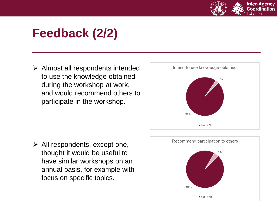

## **Feedback (2/2)**

➢ Almost all respondents intended to use the knowledge obtained during the workshop at work, and would recommend others to participate in the workshop.



 $\triangleright$  All respondents, except one, thought it would be useful to have similar workshops on an annual basis, for example with focus on specific topics.

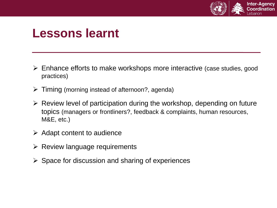

### **Lessons learnt**

- ➢ Enhance efforts to make workshops more interactive (case studies, good practices)
- $\triangleright$  Timing (morning instead of afternoon?, agenda)
- ➢ Review level of participation during the workshop, depending on future topics (managers or frontliners?, feedback & complaints, human resources, M&E, etc.)
- $\triangleright$  Adapt content to audience
- $\triangleright$  Review language requirements
- $\triangleright$  Space for discussion and sharing of experiences